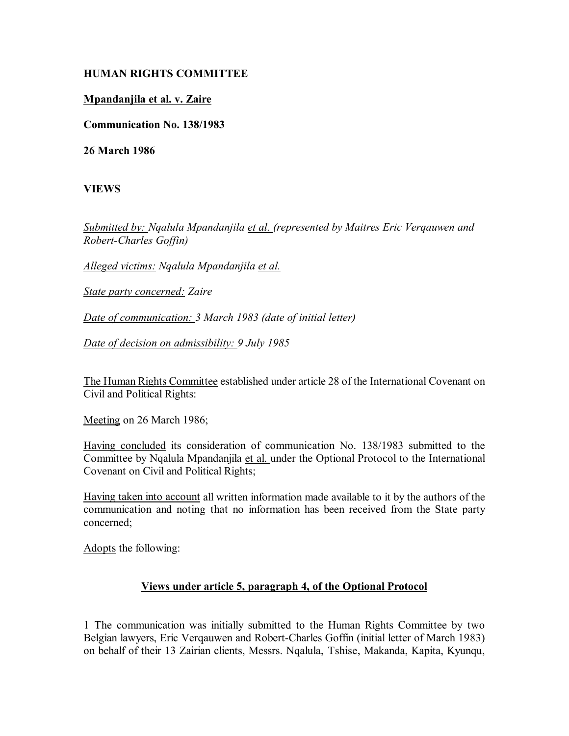## **HUMAN RIGHTS COMMITTEE**

## **Mpandanjila et al. v. Zaire**

**Communication No. 138/1983**

**26 March 1986**

**VIEWS**

*Submitted by: Nqalula Mpandanjila et al. (represented by Maitres Eric Verqauwen and Robert-Charles Goffin)* 

*Alleged victims: Nqalula Mpandanjila et al.*

*State party concerned: Zaire* 

*Date of communication: 3 March 1983 (date of initial letter)* 

*Date of decision on admissibility: 9 July 1985*

The Human Rights Committee established under article 28 of the International Covenant on Civil and Political Rights:

Meeting on 26 March 1986;

Having concluded its consideration of communication No. 138/1983 submitted to the Committee by Nqalula Mpandanjila et al. under the Optional Protocol to the International Covenant on Civil and Political Rights;

Having taken into account all written information made available to it by the authors of the communication and noting that no information has been received from the State party concerned;

Adopts the following:

## **Views under article 5, paragraph 4, of the Optional Protocol**

1 The communication was initially submitted to the Human Rights Committee by two Belgian lawyers, Eric Verqauwen and Robert-Charles Goffin (initial letter of March 1983) on behalf of their 13 Zairian clients, Messrs. Nqalula, Tshise, Makanda, Kapita, Kyunqu,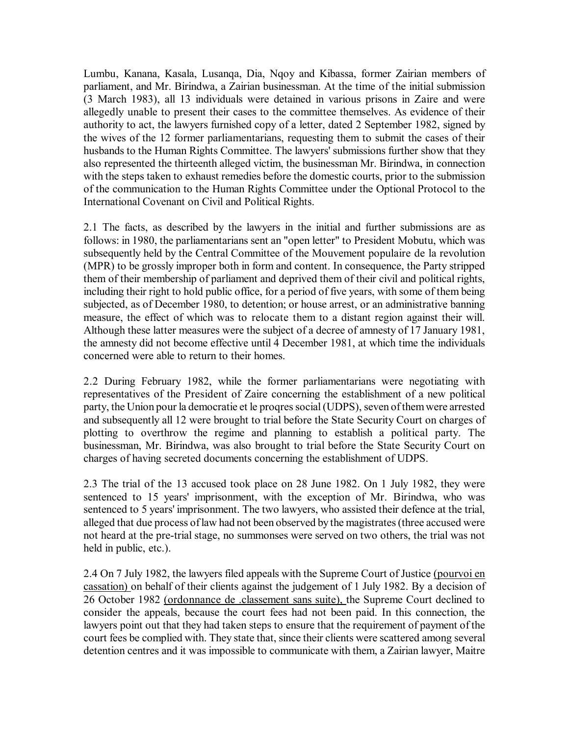Lumbu, Kanana, Kasala, Lusanqa, Dia, Nqoy and Kibassa, former Zairian members of parliament, and Mr. Birindwa, a Zairian businessman. At the time of the initial submission (3 March 1983), all 13 individuals were detained in various prisons in Zaire and were allegedly unable to present their cases to the committee themselves. As evidence of their authority to act, the lawyers furnished copy of a letter, dated 2 September 1982, signed by the wives of the 12 former parliamentarians, requesting them to submit the cases of their husbands to the Human Rights Committee. The lawyers' submissions further show that they also represented the thirteenth alleged victim, the businessman Mr. Birindwa, in connection with the steps taken to exhaust remedies before the domestic courts, prior to the submission of the communication to the Human Rights Committee under the Optional Protocol to the International Covenant on Civil and Political Rights.

2.1 The facts, as described by the lawyers in the initial and further submissions are as follows: in 1980, the parliamentarians sent an "open letter" to President Mobutu, which was subsequently held by the Central Committee of the Mouvement populaire de la revolution (MPR) to be grossly improper both in form and content. In consequence, the Party stripped them of their membership of parliament and deprived them of their civil and political rights, including their right to hold public office, for a period of five years, with some of them being subjected, as of December 1980, to detention; or house arrest, or an administrative banning measure, the effect of which was to relocate them to a distant region against their will. Although these latter measures were the subject of a decree of amnesty of 17 January 1981, the amnesty did not become effective until 4 December 1981, at which time the individuals concerned were able to return to their homes.

2.2 During February 1982, while the former parliamentarians were negotiating with representatives of the President of Zaire concerning the establishment of a new political party, the Union pour la democratie et le proqres social (UDPS), seven of them were arrested and subsequently all 12 were brought to trial before the State Security Court on charges of plotting to overthrow the regime and planning to establish a political party. The businessman, Mr. Birindwa, was also brought to trial before the State Security Court on charges of having secreted documents concerning the establishment of UDPS.

2.3 The trial of the 13 accused took place on 28 June 1982. On 1 July 1982, they were sentenced to 15 years' imprisonment, with the exception of Mr. Birindwa, who was sentenced to 5 years' imprisonment. The two lawyers, who assisted their defence at the trial, alleged that due process of law had not been observed by the magistrates (three accused were not heard at the pre-trial stage, no summonses were served on two others, the trial was not held in public, etc.).

2.4 On 7 July 1982, the lawyers filed appeals with the Supreme Court of Justice (pourvoi en cassation) on behalf of their clients against the judgement of 1 July 1982. By a decision of 26 October 1982 (ordonnance de .classement sans suite), the Supreme Court declined to consider the appeals, because the court fees had not been paid. In this connection, the lawyers point out that they had taken steps to ensure that the requirement of payment of the court fees be complied with. They state that, since their clients were scattered among several detention centres and it was impossible to communicate with them, a Zairian lawyer, Maitre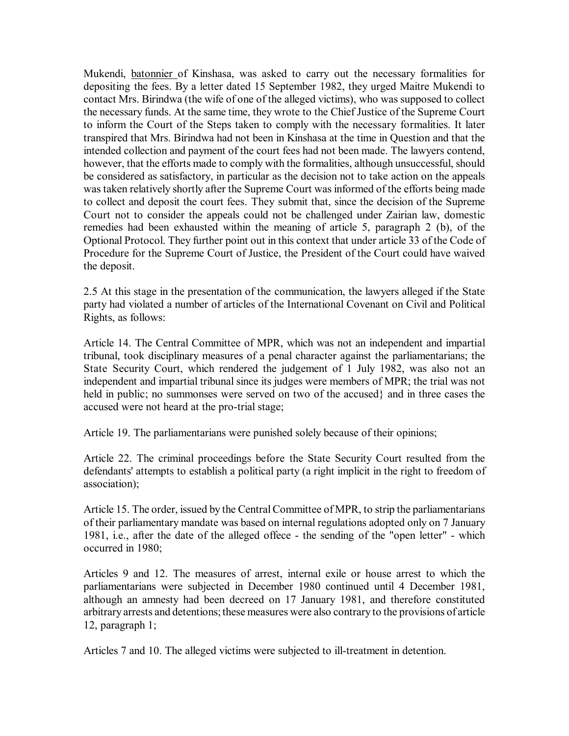Mukendi, batonnier of Kinshasa, was asked to carry out the necessary formalities for depositing the fees. By a letter dated 15 September 1982, they urged Maitre Mukendi to contact Mrs. Birindwa (the wife of one of the alleged victims), who was supposed to collect the necessary funds. At the same time, they wrote to the Chief Justice of the Supreme Court to inform the Court of the Steps taken to comply with the necessary formalities. It later transpired that Mrs. Birindwa had not been in Kinshasa at the time in Question and that the intended collection and payment of the court fees had not been made. The lawyers contend, however, that the efforts made to comply with the formalities, although unsuccessful, should be considered as satisfactory, in particular as the decision not to take action on the appeals was taken relatively shortly after the Supreme Court was informed of the efforts being made to collect and deposit the court fees. They submit that, since the decision of the Supreme Court not to consider the appeals could not be challenged under Zairian law, domestic remedies had been exhausted within the meaning of article 5, paragraph 2 (b), of the Optional Protocol. They further point out in this context that under article 33 of the Code of Procedure for the Supreme Court of Justice, the President of the Court could have waived the deposit.

2.5 At this stage in the presentation of the communication, the lawyers alleged if the State party had violated a number of articles of the International Covenant on Civil and Political Rights, as follows:

Article 14. The Central Committee of MPR, which was not an independent and impartial tribunal, took disciplinary measures of a penal character against the parliamentarians; the State Security Court, which rendered the judgement of 1 July 1982, was also not an independent and impartial tribunal since its judges were members of MPR; the trial was not held in public; no summonses were served on two of the accused and in three cases the accused were not heard at the pro-trial stage;

Article 19. The parliamentarians were punished solely because of their opinions;

Article 22. The criminal proceedings before the State Security Court resulted from the defendants' attempts to establish a political party (a right implicit in the right to freedom of association);

Article 15. The order, issued by the Central Committee of MPR, to strip the parliamentarians of their parliamentary mandate was based on internal regulations adopted only on 7 January 1981, i.e., after the date of the alleged offece - the sending of the "open letter" - which occurred in 1980;

Articles 9 and 12. The measures of arrest, internal exile or house arrest to which the parliamentarians were subjected in December 1980 continued until 4 December 1981, although an amnesty had been decreed on 17 January 1981, and therefore constituted arbitrary arrests and detentions; these measures were also contrary to the provisions of article 12, paragraph 1;

Articles 7 and 10. The alleged victims were subjected to ill-treatment in detention.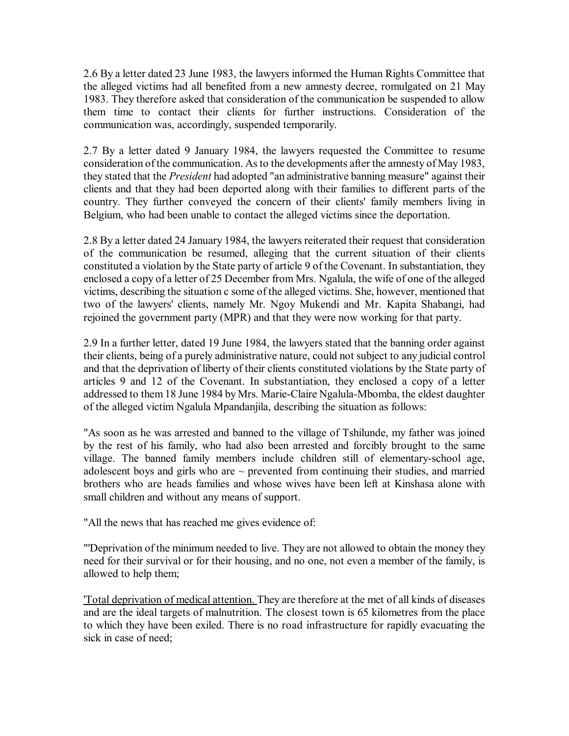2.6 By a letter dated 23 June 1983, the lawyers informed the Human Rights Committee that the alleged victims had all benefited from a new amnesty decree, romulgated on 21 May 1983. They therefore asked that consideration of the communication be suspended to allow them time to contact their clients for further instructions. Consideration of the communication was, accordingly, suspended temporarily.

2.7 By a letter dated 9 January 1984, the lawyers requested the Committee to resume consideration of the communication. As to the developments after the amnesty of May 1983, they stated that the *President* had adopted "an administrative banning measure" against their clients and that they had been deported along with their families to different parts of the country. They further conveyed the concern of their clients' family members living in Belgium, who had been unable to contact the alleged victims since the deportation.

2.8 By a letter dated 24 January 1984, the lawyers reiterated their request that consideration of the communication be resumed, alleging that the current situation of their clients constituted a violation by the State party of article 9 of the Covenant. In substantiation, they enclosed a copy of a letter of 25 December from Mrs. Ngalula, the wife of one of the alleged victims, describing the situation c some of the alleged victims. She, however, mentioned that two of the lawyers' clients, namely Mr. Ngoy Mukendi and Mr. Kapita Shabangi, had rejoined the government party (MPR) and that they were now working for that party.

2.9 In a further letter, dated 19 June 1984, the lawyers stated that the banning order against their clients, being of a purely administrative nature, could not subject to any judicial control and that the deprivation of liberty of their clients constituted violations by the State party of articles 9 and 12 of the Covenant. In substantiation, they enclosed a copy of a letter addressed to them 18 June 1984 by Mrs. Marie-Claire Ngalula-Mbomba, the eldest daughter of the alleged victim Ngalula Mpandanjila, describing the situation as follows:

"As soon as he was arrested and banned to the village of Tshilunde, my father was joined by the rest of his family, who had also been arrested and forcibly brought to the same village. The banned family members include children still of elementary-school age, adolescent boys and girls who are  $\sim$  prevented from continuing their studies, and married brothers who are heads families and whose wives have been left at Kinshasa alone with small children and without any means of support.

"All the news that has reached me gives evidence of:

"'Deprivation of the minimum needed to live. They are not allowed to obtain the money they need for their survival or for their housing, and no one, not even a member of the family, is allowed to help them;

'Total deprivation of medical attention. They are therefore at the met of all kinds of diseases and are the ideal targets of malnutrition. The closest town is 65 kilometres from the place to which they have been exiled. There is no road infrastructure for rapidly evacuating the sick in case of need;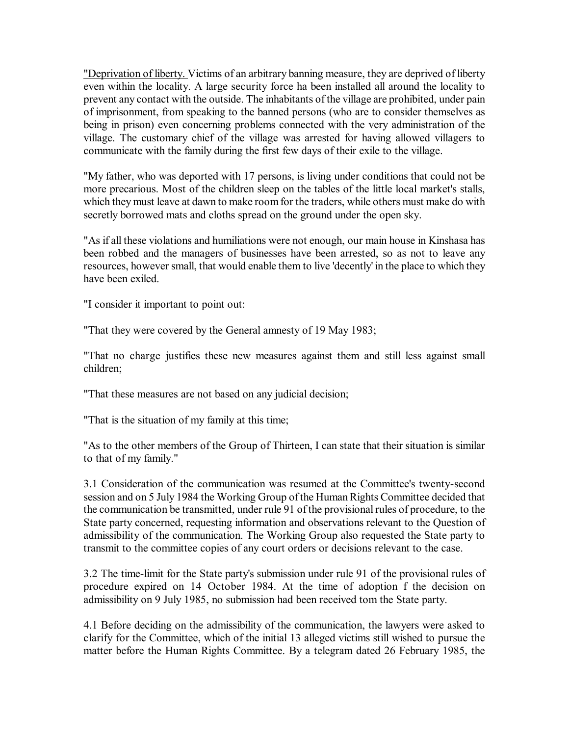"Deprivation of liberty. Victims of an arbitrary banning measure, they are deprived of liberty even within the locality. A large security force ha been installed all around the locality to prevent any contact with the outside. The inhabitants of the village are prohibited, under pain of imprisonment, from speaking to the banned persons (who are to consider themselves as being in prison) even concerning problems connected with the very administration of the village. The customary chief of the village was arrested for having allowed villagers to communicate with the family during the first few days of their exile to the village.

"My father, who was deported with 17 persons, is living under conditions that could not be more precarious. Most of the children sleep on the tables of the little local market's stalls, which they must leave at dawn to make room for the traders, while others must make do with secretly borrowed mats and cloths spread on the ground under the open sky.

"As if all these violations and humiliations were not enough, our main house in Kinshasa has been robbed and the managers of businesses have been arrested, so as not to leave any resources, however small, that would enable them to live 'decently' in the place to which they have been exiled.

"I consider it important to point out:

"That they were covered by the General amnesty of 19 May 1983;

"That no charge justifies these new measures against them and still less against small children;

"That these measures are not based on any judicial decision;

"That is the situation of my family at this time;

"As to the other members of the Group of Thirteen, I can state that their situation is similar to that of my family."

3.1 Consideration of the communication was resumed at the Committee's twenty-second session and on 5 July 1984 the Working Group of the Human Rights Committee decided that the communication be transmitted, under rule 91 of the provisional rules of procedure, to the State party concerned, requesting information and observations relevant to the Question of admissibility of the communication. The Working Group also requested the State party to transmit to the committee copies of any court orders or decisions relevant to the case.

3.2 The time-limit for the State party's submission under rule 91 of the provisional rules of procedure expired on 14 October 1984. At the time of adoption f the decision on admissibility on 9 July 1985, no submission had been received tom the State party.

4.1 Before deciding on the admissibility of the communication, the lawyers were asked to clarify for the Committee, which of the initial 13 alleged victims still wished to pursue the matter before the Human Rights Committee. By a telegram dated 26 February 1985, the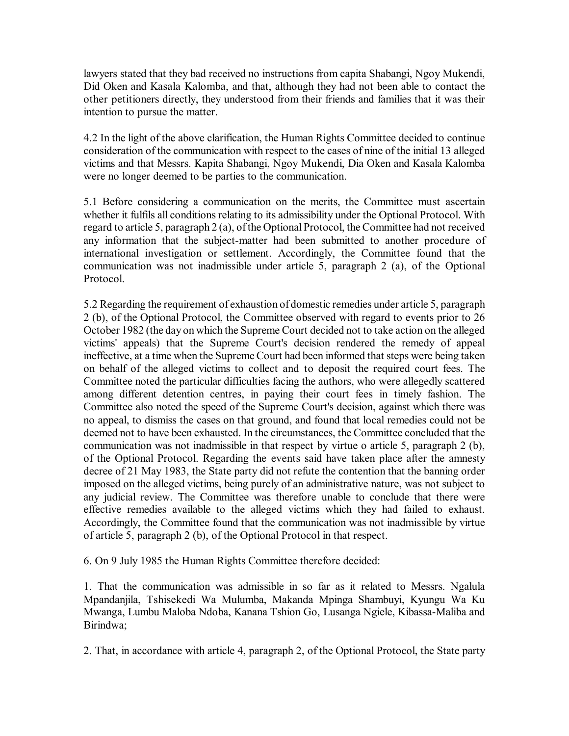lawyers stated that they bad received no instructions from capita Shabangi, Ngoy Mukendi, Did Oken and Kasala Kalomba, and that, although they had not been able to contact the other petitioners directly, they understood from their friends and families that it was their intention to pursue the matter.

4.2 In the light of the above clarification, the Human Rights Committee decided to continue consideration of the communication with respect to the cases of nine of the initial 13 alleged victims and that Messrs. Kapita Shabangi, Ngoy Mukendi, Dia Oken and Kasala Kalomba were no longer deemed to be parties to the communication.

5.1 Before considering a communication on the merits, the Committee must ascertain whether it fulfils all conditions relating to its admissibility under the Optional Protocol. With regard to article 5, paragraph 2 (a), of the Optional Protocol, the Committee had not received any information that the subject-matter had been submitted to another procedure of international investigation or settlement. Accordingly, the Committee found that the communication was not inadmissible under article 5, paragraph 2 (a), of the Optional Protocol.

5.2 Regarding the requirement of exhaustion of domestic remedies under article 5, paragraph 2 (b), of the Optional Protocol, the Committee observed with regard to events prior to 26 October 1982 (the day on which the Supreme Court decided not to take action on the alleged victims' appeals) that the Supreme Court's decision rendered the remedy of appeal ineffective, at a time when the Supreme Court had been informed that steps were being taken on behalf of the alleged victims to collect and to deposit the required court fees. The Committee noted the particular difficulties facing the authors, who were allegedly scattered among different detention centres, in paying their court fees in timely fashion. The Committee also noted the speed of the Supreme Court's decision, against which there was no appeal, to dismiss the cases on that ground, and found that local remedies could not be deemed not to have been exhausted. In the circumstances, the Committee concluded that the communication was not inadmissible in that respect by virtue o article 5, paragraph 2 (b), of the Optional Protocol. Regarding the events said have taken place after the amnesty decree of 21 May 1983, the State party did not refute the contention that the banning order imposed on the alleged victims, being purely of an administrative nature, was not subject to any judicial review. The Committee was therefore unable to conclude that there were effective remedies available to the alleged victims which they had failed to exhaust. Accordingly, the Committee found that the communication was not inadmissible by virtue of article 5, paragraph 2 (b), of the Optional Protocol in that respect.

6. On 9 July 1985 the Human Rights Committee therefore decided:

1. That the communication was admissible in so far as it related to Messrs. Ngalula Mpandanjila, Tshisekedi Wa Mulumba, Makanda Mpinga Shambuyi, Kyungu Wa Ku Mwanga, Lumbu Maloba Ndoba, Kanana Tshion Go, Lusanga Ngiele, Kibassa-Maliba and Birindwa;

2. That, in accordance with article 4, paragraph 2, of the Optional Protocol, the State party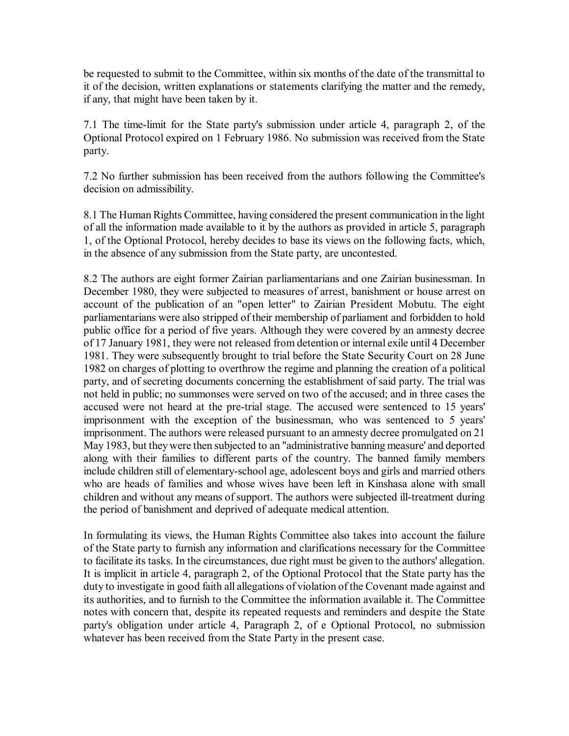be requested to submit to the Committee, within six months of the date of the transmittal to it of the decision, written explanations or statements clarifying the matter and the remedy, if any, that might have been taken by it.

7.1 The time-limit for the State party's submission under article 4, paragraph 2, of the Optional Protocol expired on 1 February 1986. No submission was received from the State party.

7.2 No further submission has been received from the authors following the Committee's decision on admissibility.

8.1 The Human Rights Committee, having considered the present communication in the light of all the information made available to it by the authors as provided in article 5, paragraph 1, of the Optional Protocol, hereby decides to base its views on the following facts, which, in the absence of any submission from the State party, are uncontested.

8.2 The authors are eight former Zairian parliamentarians and one Zairian businessman. In December 1980, they were subjected to measures of arrest, banishment or house arrest on account of the publication of an "open letter" to Zairian President Mobutu. The eight parliamentarians were also stripped of their membership of parliament and forbidden to hold public office for a period of five years. Although they were covered by an amnesty decree of 17 January 1981, they were not released from detention or internal exile until 4 December 1981. They were subsequently brought to trial before the State Security Court on 28 June 1982 on charges of plotting to overthrow the regime and planning the creation of a political party, and of secreting documents concerning the establishment of said party. The trial was not held in public; no summonses were served on two of the accused; and in three cases the accused were not heard at the pre-trial stage. The accused were sentenced to 15 years' imprisonment with the exception of the businessman, who was sentenced to 5 years' imprisonment. The authors were released pursuant to an amnesty decree promulgated on 21 May 1983, but they were then subjected to an "administrative banning measure' and deported along with their families to different parts of the country. The banned family members include children still of elementary-school age, adolescent boys and girls and married others who are heads of families and whose wives have been left in Kinshasa alone with small children and without any means of support. The authors were subjected ill-treatment during the period of banishment and deprived of adequate medical attention.

In formulating its views, the Human Rights Committee also takes into account the failure of the State party to furnish any information and clarifications necessary for the Committee to facilitate its tasks. In the circumstances, due right must be given to the authors' allegation. It is implicit in article 4, paragraph 2, of the Optional Protocol that the State party has the duty to investigate in good faith all allegations of violation of the Covenant made against and its authorities, and to furnish to the Committee the information available it. The Committee notes with concern that, despite its repeated requests and reminders and despite the State party's obligation under article 4, Paragraph 2, of e Optional Protocol, no submission whatever has been received from the State Party in the present case.